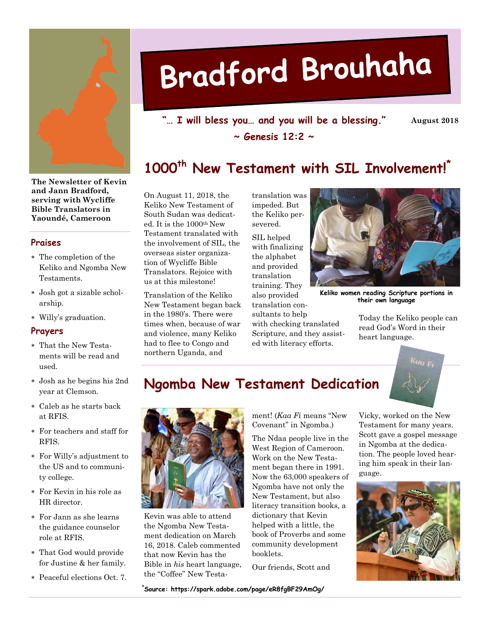

**The Newsletter of Kevin and Jann Bradford, serving with Wycliffe Bible Translators in Yaoundé, Cameroon**

#### **Praises**

- The completion of the Keliko and Ngomba New Testaments.
- Josh got a sizable scholarship.
- Willy's graduation.

#### **Prayers**

- That the New Testaments will be read and used.
- Josh as he begins his 2nd year at Clemson.
- Caleb as he starts back at RFIS.
- For teachers and staff for RFIS.
- For Willy's adjustment to the US and to community college.
- For Kevin in his role as HR director.
- For Jann as she learns the guidance counselor role at RFIS.
- That God would provide for Justine & her family.
- Peaceful elections Oct. 7.

# Bradford Brouhaha

**"… I will bless you… and you will be a blessing." ~ Genesis 12:2 ~**

**August 2018**

# **1000th New Testament with SIL Involvement!\***

On August 11, 2018, the Keliko New Testament of South Sudan was dedicated. It is the 1000th New Testament translated with the involvement of SIL, the overseas sister organization of Wycliffe Bible Translators. Rejoice with us at this milestone!

Translation of the Keliko New Testament began back in the 1980's. There were times when, because of war and violence, many Keliko had to flee to Congo and northern Uganda, and

translation was impeded. But the Keliko persevered.

SIL helped with finalizing the alphabet and provided translation training. They also provided

translation consultants to help with checking translated Scripture, and they assisted with literacy efforts.



**Keliko women reading Scripture portions in their own language**

Today the Keliko people can read God's Word in their heart language.



## **Ngomba New Testament Dedication**



Kevin was able to attend the Ngomba New Testament dedication on March 16, 2018. Caleb commented that now Kevin has the Bible in *his* heart language, the "Coffee" New Testa-

ment! (*Kaa Fi* means "New Covenant" in Ngomba.)

The Ndaa people live in the West Region of Cameroon. Work on the New Testament began there in 1991. Now the 63,000 speakers of Ngomba have not only the New Testament, but also literacy transition books, a dictionary that Kevin helped with a little, the book of Proverbs and some community development booklets.

Our friends, Scott and

Vicky, worked on the New Testament for many years. Scott gave a gospel message in Ngomba at the dedication. The people loved hearing him speak in their language.



**\*Source: https://spark.adobe.com/page/eR8fgBF29AmOg/**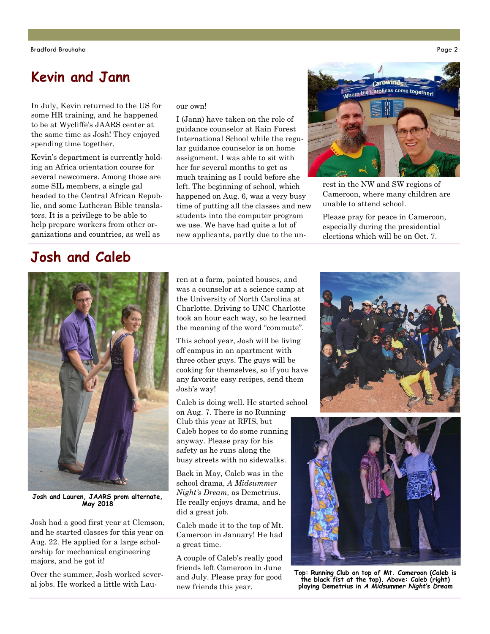# **Kevin and Jann**

In July, Kevin returned to the US for some HR training, and he happened to be at Wycliffe's JAARS center at the same time as Josh! They enjoyed spending time together.

Kevin's department is currently holding an Africa orientation course for several newcomers. Among those are some SIL members, a single gal headed to the Central African Republic, and some Lutheran Bible translators. It is a privilege to be able to help prepare workers from other organizations and countries, as well as

#### our own!

I (Jann) have taken on the role of guidance counselor at Rain Forest International School while the regular guidance counselor is on home assignment. I was able to sit with her for several months to get as much training as I could before she left. The beginning of school, which happened on Aug. 6, was a very busy time of putting all the classes and new students into the computer program we use. We have had quite a lot of new applicants, partly due to the un-



rest in the NW and SW regions of Cameroon, where many children are unable to attend school.

Please pray for peace in Cameroon, especially during the presidential elections which will be on Oct. 7.

## **Josh and Caleb**



cooking for themselves, so if you have any favorite easy recipes, send them Josh's way!

Caleb is doing well. He started school

on Aug. 7. There is no Running Club this year at RFIS, but Caleb hopes to do some running anyway. Please pray for his safety as he runs along the busy streets with no sidewalks.

Back in May, Caleb was in the school drama, *A Midsummer Night's Dream,* as Demetrius. He really enjoys drama, and he did a great job.

Caleb made it to the top of Mt. Cameroon in January! He had a great time.

A couple of Caleb's really good friends left Cameroon in June and July. Please pray for good new friends this year.





**Top: Running Club on top of Mt. Cameroon (Caleb is the black fist at the top). Above: Caleb (right) playing Demetrius in** *A Midsummer Night's Dream*

**Josh and Lauren, JAARS prom alternate, May 2018**

Josh had a good first year at Clemson, and he started classes for this year on Aug. 22. He applied for a large scholarship for mechanical engineering majors, and he got it!

Over the summer, Josh worked several jobs. He worked a little with Lau-